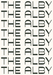